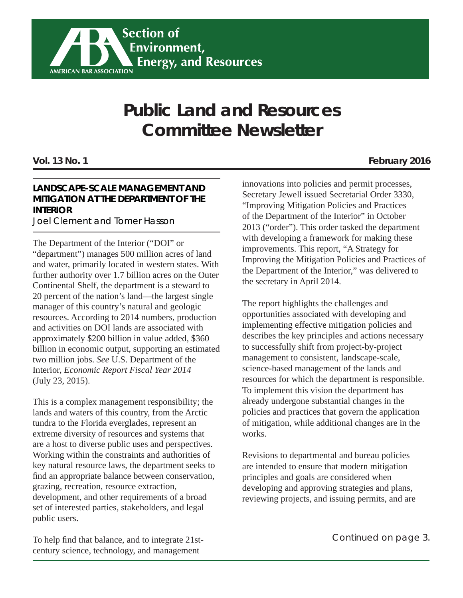

# **Public Land and Resources Committee Newsletter**

#### **LANDSCAPE-SCALE MANAGEMENT AND MITIGATION AT THE DEPARTMENT OF THE INTERIOR**

Joel Clement and Tomer Hasson

The Department of the Interior ("DOI" or "department") manages 500 million acres of land and water, primarily located in western states. With further authority over 1.7 billion acres on the Outer Continental Shelf, the department is a steward to 20 percent of the nation's land—the largest single manager of this country's natural and geologic resources. According to 2014 numbers, production and activities on DOI lands are associated with approximately \$200 billion in value added, \$360 billion in economic output, supporting an estimated two million jobs. *See* U.S. Department of the Interior, *Economic Report Fiscal Year 2014* (July 23, 2015).

This is a complex management responsibility; the lands and waters of this country, from the Arctic tundra to the Florida everglades, represent an extreme diversity of resources and systems that are a host to diverse public uses and perspectives. Working within the constraints and authorities of key natural resource laws, the department seeks to find an appropriate balance between conservation, grazing, recreation, resource extraction, development, and other requirements of a broad set of interested parties, stakeholders, and legal public users.

To help find that balance, and to integrate 21stcentury science, technology, and management

innovations into policies and permit processes, Secretary Jewell issued Secretarial Order 3330, "Improving Mitigation Policies and Practices of the Department of the Interior" in October 2013 ("order"). This order tasked the department with developing a framework for making these improvements. This report, "A Strategy for Improving the Mitigation Policies and Practices of the Department of the Interior," was delivered to the secretary in April 2014.

The report highlights the challenges and opportunities associated with developing and implementing effective mitigation policies and describes the key principles and actions necessary to successfully shift from project-by-project management to consistent, landscape-scale, science-based management of the lands and resources for which the department is responsible. To implement this vision the department has already undergone substantial changes in the policies and practices that govern the application of mitigation, while additional changes are in the works.

Revisions to departmental and bureau policies are intended to ensure that modern mitigation principles and goals are considered when developing and approving strategies and plans, reviewing projects, and issuing permits, and are

*Continued on page 3.*

#### **Vol. 13 No. 1 February 2016**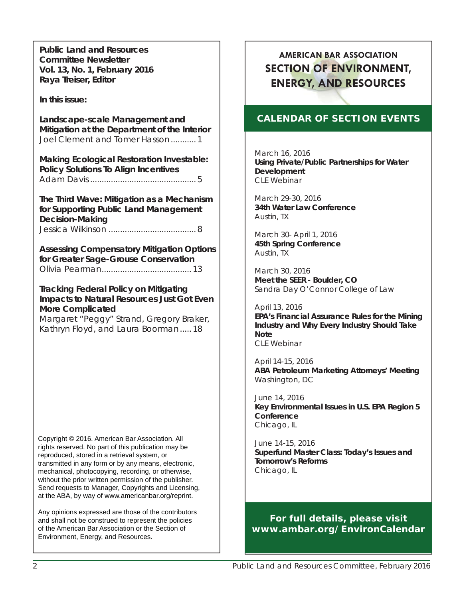**Public Land and Resources Committee Newsletter Vol. 13, No. 1, February 2016 Raya Treiser, Editor**

**In this issue:**

**Landscape-scale Management and Mitigation at the Department of the Interior** Joel Clement and Tomer Hasson ........... 1

**Making Ecological Restoration Investable: Policy Solutions To Align Incentives** Adam Davis .............................................. 5

**The Third Wave: Mitigation as a Mechanism for Supporting Public Land Management Decision-Making** Jessica Wilkinson ...................................... 8

**Assessing Compensatory Mitigation Options for Greater Sage-Grouse Conservation** Olivia Pearman ....................................... 13

**Tracking Federal Policy on Mitigating Impacts to Natural Resources Just Got Even More Complicated**

Margaret "Peggy" Strand, Gregory Braker, Kathryn Floyd, and Laura Boorman ..... 18

Copyright © 2016. American Bar Association. All rights reserved. No part of this publication may be reproduced, stored in a retrieval system, or transmitted in any form or by any means, electronic, mechanical, photocopying, recording, or otherwise, without the prior written permission of the publisher. Send requests to Manager, Copyrights and Licensing, at the ABA, by way of www.americanbar.org/reprint.

Any opinions expressed are those of the contributors and shall not be construed to represent the policies of the American Bar Association or the Section of Environment, Energy, and Resources.

### **AMERICAN BAR ASSOCIATION SECTION OF ENVIRONMENT, ENERGY, AND RESOURCES**

#### **CALENDAR OF SECTION EVENTS**

March 16, 2016 **Using Private/Public Partnerships for Water Development** CLE Webinar

March 29-30, 2016 **34th Water Law Conference**  Austin, TX

March 30- April 1, 2016 **45th Spring Conference** Austin, TX

March 30, 2016 **Meet the SEER - Boulder, CO** Sandra Day O'Connor College of Law

April 13, 2016 **EPA's Financial Assurance Rules for the Mining Industry and Why Every Industry Should Take Note** CLE Webinar

April 14-15, 2016 **ABA Petroleum Marketing Attorneys' Meeting** Washington, DC

June 14, 2016 **Key Environmental Issues in U.S. EPA Region 5 Conference** Chicago, IL

June 14-15, 2016 **Superfund Master Class: Today's Issues and Tomorrow's Reforms** Chicago, IL

**For full details, please visit www.ambar.org/EnvironCalendar**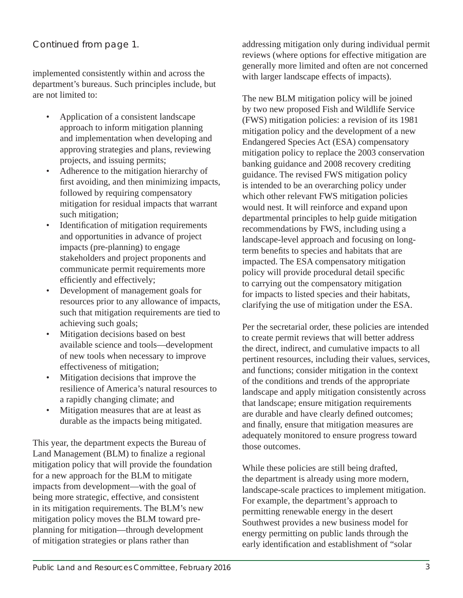#### *Continued from page 1.*

implemented consistently within and across the department's bureaus. Such principles include, but are not limited to:

- Application of a consistent landscape approach to inform mitigation planning and implementation when developing and approving strategies and plans, reviewing projects, and issuing permits;
- Adherence to the mitigation hierarchy of first avoiding, and then minimizing impacts, followed by requiring compensatory mitigation for residual impacts that warrant such mitigation;
- Identification of mitigation requirements and opportunities in advance of project impacts (pre-planning) to engage stakeholders and project proponents and communicate permit requirements more efficiently and effectively;
- Development of management goals for resources prior to any allowance of impacts, such that mitigation requirements are tied to achieving such goals;
- Mitigation decisions based on best available science and tools—development of new tools when necessary to improve effectiveness of mitigation;
- Mitigation decisions that improve the resilience of America's natural resources to a rapidly changing climate; and
- Mitigation measures that are at least as durable as the impacts being mitigated.

This year, the department expects the Bureau of Land Management (BLM) to finalize a regional mitigation policy that will provide the foundation for a new approach for the BLM to mitigate impacts from development—with the goal of being more strategic, effective, and consistent in its mitigation requirements. The BLM's new mitigation policy moves the BLM toward preplanning for mitigation—through development of mitigation strategies or plans rather than

addressing mitigation only during individual permit reviews (where options for effective mitigation are generally more limited and often are not concerned with larger landscape effects of impacts).

The new BLM mitigation policy will be joined by two new proposed Fish and Wildlife Service (FWS) mitigation policies: a revision of its 1981 mitigation policy and the development of a new Endangered Species Act (ESA) compensatory mitigation policy to replace the 2003 conservation banking guidance and 2008 recovery crediting guidance. The revised FWS mitigation policy is intended to be an overarching policy under which other relevant FWS mitigation policies would nest. It will reinforce and expand upon departmental principles to help guide mitigation recommendations by FWS, including using a landscape-level approach and focusing on longterm benefits to species and habitats that are impacted. The ESA compensatory mitigation policy will provide procedural detail specific to carrying out the compensatory mitigation for impacts to listed species and their habitats, clarifying the use of mitigation under the ESA.

Per the secretarial order, these policies are intended to create permit reviews that will better address the direct, indirect, and cumulative impacts to all pertinent resources, including their values, services, and functions; consider mitigation in the context of the conditions and trends of the appropriate landscape and apply mitigation consistently across that landscape; ensure mitigation requirements are durable and have clearly defined outcomes; and finally, ensure that mitigation measures are adequately monitored to ensure progress toward those outcomes.

While these policies are still being drafted, the department is already using more modern, landscape-scale practices to implement mitigation. For example, the department's approach to permitting renewable energy in the desert Southwest provides a new business model for energy permitting on public lands through the early identification and establishment of "solar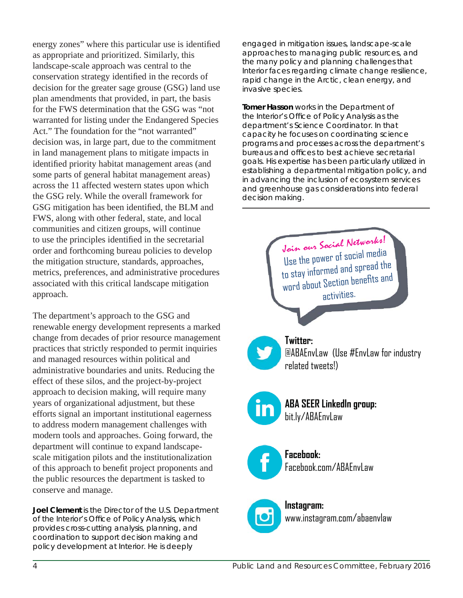energy zones" where this particular use is identified as appropriate and prioritized. Similarly, this landscape-scale approach was central to the conservation strategy identified in the records of decision for the greater sage grouse (GSG) land use plan amendments that provided, in part, the basis for the FWS determination that the GSG was "not warranted for listing under the Endangered Species Act." The foundation for the "not warranted" decision was, in large part, due to the commitment in land management plans to mitigate impacts in identified priority habitat management areas (and some parts of general habitat management areas) across the 11 affected western states upon which the GSG rely. While the overall framework for GSG mitigation has been identified, the BLM and FWS, along with other federal, state, and local communities and citizen groups, will continue to use the principles identified in the secretarial order and forthcoming bureau policies to develop the mitigation structure, standards, approaches, metrics, preferences, and administrative procedures associated with this critical landscape mitigation approach.

The department's approach to the GSG and renewable energy development represents a marked change from decades of prior resource management practices that strictly responded to permit inquiries and managed resources within political and administrative boundaries and units. Reducing the effect of these silos, and the project-by-project approach to decision making, will require many years of organizational adjustment, but these efforts signal an important institutional eagerness to address modern management challenges with modern tools and approaches. Going forward, the department will continue to expand landscapescale mitigation pilots and the institutionalization of this approach to benefit project proponents and the public resources the department is tasked to conserve and manage.

**Joel Clement** *is the Director of the U.S. Department of the Interior's Offi ce of Policy Analysis, which provides cross-cutting analysis, planning, and coordination to support decision making and policy development at Interior. He is deeply* 

*engaged in mitigation issues, landscape-scale approaches to managing public resources, and the many policy and planning challenges that Interior faces regarding climate change resilience, rapid change in the Arctic, clean energy, and invasive species.*

**Tomer Hasson** *works in the Department of the Interior's Offi ce of Policy Analysis as the department's Science Coordinator. In that capacity he focuses on coordinating science programs and processes across the department's bureaus and offi ces to best achieve secretarial goals. His expertise has been particularly utilized in establishing a departmental mitigation policy, and in advancing the inclusion of ecosystem services and greenhouse gas considerations into federal decision making.*

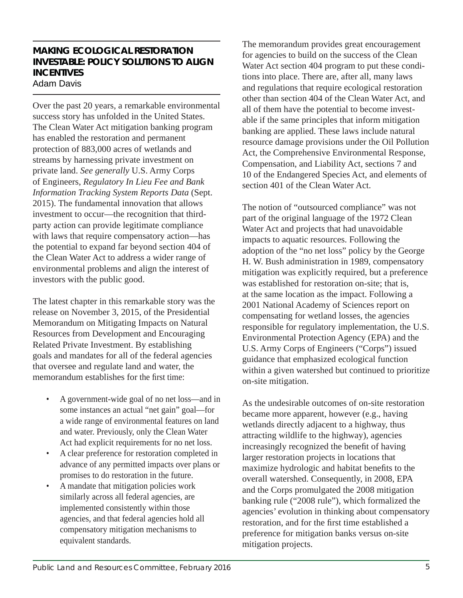#### **MAKING ECOLOGICAL RESTORATION INVESTABLE: POLICY SOLUTIONS TO ALIGN INCENTIVES** Adam Davis

Over the past 20 years, a remarkable environmental success story has unfolded in the United States. The Clean Water Act mitigation banking program has enabled the restoration and permanent protection of 883,000 acres of wetlands and streams by harnessing private investment on private land. *See generally* U.S. Army Corps of Engineers, *Regulatory In Lieu Fee and Bank Information Tracking System Reports Data* (Sept. 2015). The fundamental innovation that allows investment to occur—the recognition that thirdparty action can provide legitimate compliance with laws that require compensatory action—has the potential to expand far beyond section 404 of the Clean Water Act to address a wider range of environmental problems and align the interest of investors with the public good.

The latest chapter in this remarkable story was the release on November 3, 2015, of the Presidential Memorandum on Mitigating Impacts on Natural Resources from Development and Encouraging Related Private Investment. By establishing goals and mandates for all of the federal agencies that oversee and regulate land and water, the memorandum establishes for the first time:

- A government-wide goal of no net loss—and in some instances an actual "net gain" goal—for a wide range of environmental features on land and water. Previously, only the Clean Water Act had explicit requirements for no net loss.
- A clear preference for restoration completed in advance of any permitted impacts over plans or promises to do restoration in the future.
- A mandate that mitigation policies work similarly across all federal agencies, are implemented consistently within those agencies, and that federal agencies hold all compensatory mitigation mechanisms to equivalent standards.

The memorandum provides great encouragement for agencies to build on the success of the Clean Water Act section 404 program to put these conditions into place. There are, after all, many laws and regulations that require ecological restoration other than section 404 of the Clean Water Act, and all of them have the potential to become investable if the same principles that inform mitigation banking are applied. These laws include natural resource damage provisions under the Oil Pollution Act, the Comprehensive Environmental Response, Compensation, and Liability Act, sections 7 and 10 of the Endangered Species Act, and elements of section 401 of the Clean Water Act.

The notion of "outsourced compliance" was not part of the original language of the 1972 Clean Water Act and projects that had unavoidable impacts to aquatic resources. Following the adoption of the "no net loss" policy by the George H. W. Bush administration in 1989, compensatory mitigation was explicitly required, but a preference was established for restoration on-site; that is, at the same location as the impact. Following a 2001 National Academy of Sciences report on compensating for wetland losses, the agencies responsible for regulatory implementation, the U.S. Environmental Protection Agency (EPA) and the U.S. Army Corps of Engineers ("Corps") issued guidance that emphasized ecological function within a given watershed but continued to prioritize on-site mitigation.

As the undesirable outcomes of on-site restoration became more apparent, however (e.g., having wetlands directly adjacent to a highway, thus attracting wildlife to the highway), agencies increasingly recognized the benefit of having larger restoration projects in locations that maximize hydrologic and habitat benefits to the overall watershed. Consequently, in 2008, EPA and the Corps promulgated the 2008 mitigation banking rule ("2008 rule"), which formalized the agencies' evolution in thinking about compensatory restoration, and for the first time established a preference for mitigation banks versus on-site mitigation projects.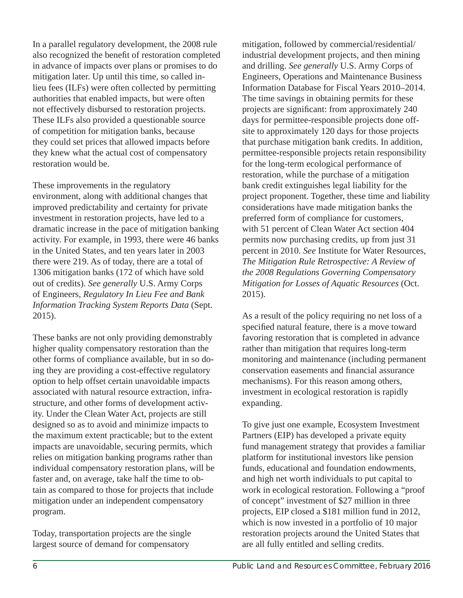In a parallel regulatory development, the 2008 rule also recognized the benefit of restoration completed in advance of impacts over plans or promises to do mitigation later. Up until this time, so called inlieu fees (ILFs) were often collected by permitting authorities that enabled impacts, but were often not effectively disbursed to restoration projects. These ILFs also provided a questionable source of competition for mitigation banks, because they could set prices that allowed impacts before they knew what the actual cost of compensatory restoration would be.

These improvements in the regulatory environment, along with additional changes that improved predictability and certainty for private investment in restoration projects, have led to a dramatic increase in the pace of mitigation banking activity. For example, in 1993, there were 46 banks in the United States, and ten years later in 2003 there were 219. As of today, there are a total of 1306 mitigation banks (172 of which have sold out of credits). *See generally* U.S. Army Corps of Engineers, *Regulatory In Lieu Fee and Bank Information Tracking System Reports Data* (Sept. 2015).

These banks are not only providing demonstrably higher quality compensatory restoration than the other forms of compliance available, but in so doing they are providing a cost-effective regulatory option to help offset certain unavoidable impacts associated with natural resource extraction, infrastructure, and other forms of development activity. Under the Clean Water Act, projects are still designed so as to avoid and minimize impacts to the maximum extent practicable; but to the extent impacts are unavoidable, securing permits, which relies on mitigation banking programs rather than individual compensatory restoration plans, will be faster and, on average, take half the time to obtain as compared to those for projects that include mitigation under an independent compensatory program.

Today, transportation projects are the single largest source of demand for compensatory

mitigation, followed by commercial/residential/ industrial development projects, and then mining and drilling. *See generally* U.S. Army Corps of Engineers, Operations and Maintenance Business Information Database for Fiscal Years 2010–2014. The time savings in obtaining permits for these projects are significant: from approximately 240 days for permittee-responsible projects done offsite to approximately 120 days for those projects that purchase mitigation bank credits. In addition, permittee-responsible projects retain responsibility for the long-term ecological performance of restoration, while the purchase of a mitigation bank credit extinguishes legal liability for the project proponent. Together, these time and liability considerations have made mitigation banks the preferred form of compliance for customers, with 51 percent of Clean Water Act section 404 permits now purchasing credits, up from just 31 percent in 2010. *See* Institute for Water Resources, *The Mitigation Rule Retrospective: A Review of the 2008 Regulations Governing Compensatory Mitigation for Losses of Aquatic Resources* (Oct. 2015).

As a result of the policy requiring no net loss of a specified natural feature, there is a move toward favoring restoration that is completed in advance rather than mitigation that requires long-term monitoring and maintenance (including permanent conservation easements and financial assurance mechanisms). For this reason among others, investment in ecological restoration is rapidly expanding.

To give just one example, Ecosystem Investment Partners (EIP) has developed a private equity fund management strategy that provides a familiar platform for institutional investors like pension funds, educational and foundation endowments, and high net worth individuals to put capital to work in ecological restoration. Following a "proof of concept" investment of \$27 million in three projects, EIP closed a \$181 million fund in 2012, which is now invested in a portfolio of 10 major restoration projects around the United States that are all fully entitled and selling credits.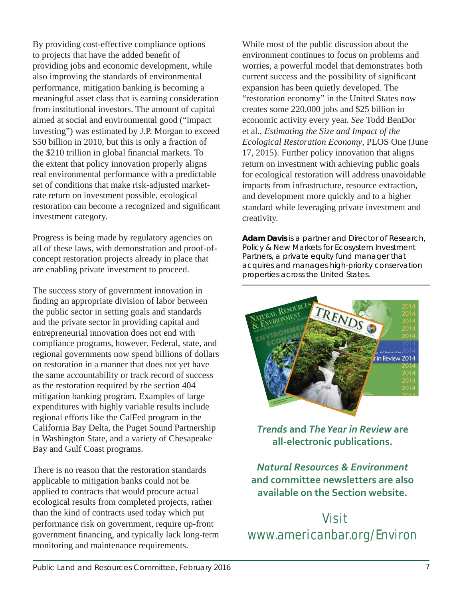By providing cost-effective compliance options to projects that have the added benefit of providing jobs and economic development, while also improving the standards of environmental performance, mitigation banking is becoming a meaningful asset class that is earning consideration from institutional investors. The amount of capital aimed at social and environmental good ("impact investing") was estimated by J.P. Morgan to exceed \$50 billion in 2010, but this is only a fraction of the \$210 trillion in global financial markets. To the extent that policy innovation properly aligns real environmental performance with a predictable set of conditions that make risk-adjusted marketrate return on investment possible, ecological restoration can become a recognized and significant investment category.

Progress is being made by regulatory agencies on all of these laws, with demonstration and proof-ofconcept restoration projects already in place that are enabling private investment to proceed.

The success story of government innovation in finding an appropriate division of labor between the public sector in setting goals and standards and the private sector in providing capital and entrepreneurial innovation does not end with compliance programs, however. Federal, state, and regional governments now spend billions of dollars on restoration in a manner that does not yet have the same accountability or track record of success as the restoration required by the section 404 mitigation banking program. Examples of large expenditures with highly variable results include regional efforts like the CalFed program in the California Bay Delta, the Puget Sound Partnership in Washington State, and a variety of Chesapeake Bay and Gulf Coast programs.

There is no reason that the restoration standards applicable to mitigation banks could not be applied to contracts that would procure actual ecological results from completed projects, rather than the kind of contracts used today which put performance risk on government, require up-front government financing, and typically lack long-term monitoring and maintenance requirements.

While most of the public discussion about the environment continues to focus on problems and worries, a powerful model that demonstrates both current success and the possibility of significant expansion has been quietly developed. The "restoration economy" in the United States now creates some 220,000 jobs and \$25 billion in economic activity every year. *See* Todd BenDor et al., *Estimating the Size and Impact of the Ecological Restoration Economy*, PLOS One (June 17, 2015). Further policy innovation that aligns return on investment with achieving public goals for ecological restoration will address unavoidable impacts from infrastructure, resource extraction, and development more quickly and to a higher standard while leveraging private investment and creativity.

**Adam Davis** *is a partner and Director of Research, Policy & New Markets for Ecosystem Investment Partners, a private equity fund manager that acquires and manages high-priority conservation properties across the United States.* 



*Trends* **and** *The Year in Review* **are all-electronic publications.** 

*Natural Resources & Environment* **and committee newsletters are also available on the Section website.** 

## Visit www.americanbar.org/Environ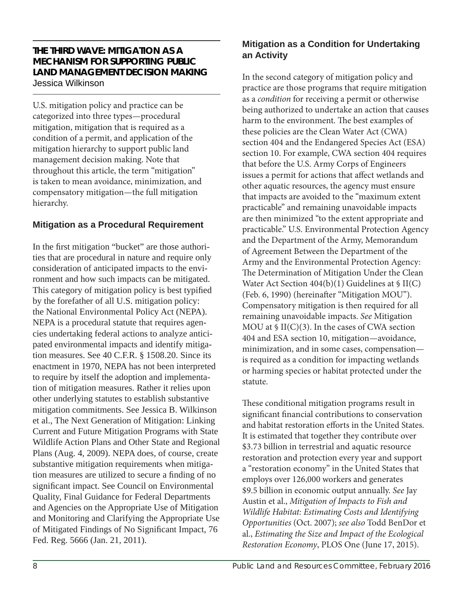#### **THE THIRD WAVE: MITIGATION AS A MECHANISM FOR SUPPORTING PUBLIC LAND MANAGEMENT DECISION MAKING** Jessica Wilkinson

U.S. mitigation policy and practice can be categorized into three types—procedural mitigation, mitigation that is required as a condition of a permit, and application of the mitigation hierarchy to support public land management decision making. Note that throughout this article, the term "mitigation" is taken to mean avoidance, minimization, and compensatory mitigation—the full mitigation hierarchy.

#### **Mitigation as a Procedural Requirement**

In the first mitigation "bucket" are those authorities that are procedural in nature and require only consideration of anticipated impacts to the environment and how such impacts can be mitigated. This category of mitigation policy is best typified by the forefather of all U.S. mitigation policy: the National Environmental Policy Act (NEPA). NEPA is a procedural statute that requires agencies undertaking federal actions to analyze anticipated environmental impacts and identify mitigation measures. See 40 C.F.R. § 1508.20. Since its enactment in 1970, NEPA has not been interpreted to require by itself the adoption and implementation of mitigation measures. Rather it relies upon other underlying statutes to establish substantive mitigation commitments. See Jessica B. Wilkinson et al., The Next Generation of Mitigation: Linking Current and Future Mitigation Programs with State Wildlife Action Plans and Other State and Regional Plans (Aug. 4, 2009). NEPA does, of course, create substantive mitigation requirements when mitigation measures are utilized to secure a finding of no significant impact. See Council on Environmental Quality, Final Guidance for Federal Departments and Agencies on the Appropriate Use of Mitigation and Monitoring and Clarifying the Appropriate Use of Mitigated Findings of No Significant Impact, 76 Fed. Reg. 5666 (Jan. 21, 2011).

#### **Mitigation as a Condition for Undertaking an Activity**

In the second category of mitigation policy and practice are those programs that require mitigation as a *condition* for receiving a permit or otherwise being authorized to undertake an action that causes harm to the environment. The best examples of these policies are the Clean Water Act (CWA) section 404 and the Endangered Species Act (ESA) section 10. For example, CWA section 404 requires that before the U.S. Army Corps of Engineers issues a permit for actions that affect wetlands and other aquatic resources, the agency must ensure that impacts are avoided to the "maximum extent practicable" and remaining unavoidable impacts are then minimized "to the extent appropriate and practicable." U.S. Environmental Protection Agency and the Department of the Army, Memorandum of Agreement Between the Department of the Army and the Environmental Protection Agency: The Determination of Mitigation Under the Clean Water Act Section  $404(b)(1)$  Guidelines at § II(C) (Feb. 6, 1990) (hereinafter "Mitigation MOU"). Compensatory mitigation is then required for all remaining unavoidable impacts. *See* Mitigation MOU at § II(C)(3). In the cases of CWA section 404 and ESA section 10, mitigation—avoidance, minimization, and in some cases, compensation is required as a condition for impacting wetlands or harming species or habitat protected under the statute.

These conditional mitigation programs result in significant financial contributions to conservation and habitat restoration efforts in the United States. It is estimated that together they contribute over \$3.73 billion in terrestrial and aquatic resource restoration and protection every year and support a "restoration economy" in the United States that employs over 126,000 workers and generates \$9.5 billion in economic output annually. *See* Jay Austin et al., *Mitigation of Impacts to Fish and Wildlife Habitat: Estimating Costs and Identifying Opportunities* (Oct. 2007); *see also* Todd BenDor et al., *Estimating the Size and Impact of the Ecological Restoration Economy*, PLOS One (June 17, 2015).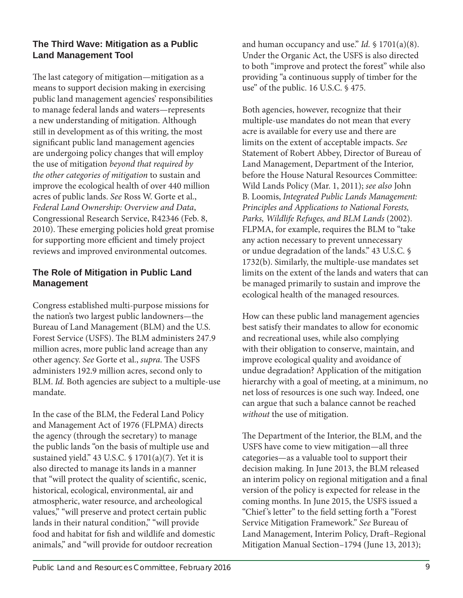#### **The Third Wave: Mitigation as a Public Land Management Tool**

The last category of mitigation—mitigation as a means to support decision making in exercising public land management agencies' responsibilities to manage federal lands and waters—represents a new understanding of mitigation. Although still in development as of this writing, the most significant public land management agencies are undergoing policy changes that will employ the use of mitigation *beyond that required by the other categories of mitigation* to sustain and improve the ecological health of over 440 million acres of public lands. *See* Ross W. Gorte et al., *Federal Land Ownership: Overview and Data*, Congressional Research Service, R42346 (Feb. 8, 2010). These emerging policies hold great promise for supporting more efficient and timely project reviews and improved environmental outcomes.

#### **The Role of Mitigation in Public Land Management**

Congress established multi-purpose missions for the nation's two largest public landowners—the Bureau of Land Management (BLM) and the U.S. Forest Service (USFS). The BLM administers 247.9 million acres, more public land acreage than any other agency. *See* Gorte et al., *supra*. The USFS administers 192.9 million acres, second only to BLM. *Id.* Both agencies are subject to a multiple-use mandate.

In the case of the BLM, the Federal Land Policy and Management Act of 1976 (FLPMA) directs the agency (through the secretary) to manage the public lands "on the basis of multiple use and sustained yield." 43 U.S.C. § 1701(a)(7). Yet it is also directed to manage its lands in a manner that "will protect the quality of scientific, scenic, historical, ecological, environmental, air and atmospheric, water resource, and archeological values," "will preserve and protect certain public lands in their natural condition," "will provide food and habitat for fish and wildlife and domestic animals," and "will provide for outdoor recreation

and human occupancy and use." *Id.* § 1701(a)(8). Under the Organic Act, the USFS is also directed to both "improve and protect the forest" while also providing "a continuous supply of timber for the use" of the public. 16 U.S.C. § 475.

Both agencies, however, recognize that their multiple-use mandates do not mean that every acre is available for every use and there are limits on the extent of acceptable impacts. *See*  Statement of Robert Abbey, Director of Bureau of Land Management, Department of the Interior, before the House Natural Resources Committee: Wild Lands Policy (Mar. 1, 2011); *see also* John B. Loomis, *Integrated Public Lands Management: Principles and Applications to National Forests, Parks, Wildlife Refuges, and BLM Lands* (2002). FLPMA, for example, requires the BLM to "take any action necessary to prevent unnecessary or undue degradation of the lands." 43 U.S.C. § 1732(b). Similarly, the multiple-use mandates set limits on the extent of the lands and waters that can be managed primarily to sustain and improve the ecological health of the managed resources.

How can these public land management agencies best satisfy their mandates to allow for economic and recreational uses, while also complying with their obligation to conserve, maintain, and improve ecological quality and avoidance of undue degradation? Application of the mitigation hierarchy with a goal of meeting, at a minimum, no net loss of resources is one such way. Indeed, one can argue that such a balance cannot be reached *without* the use of mitigation.

The Department of the Interior, the BLM, and the USFS have come to view mitigation—all three categories—as a valuable tool to support their decision making. In June 2013, the BLM released an interim policy on regional mitigation and a final version of the policy is expected for release in the coming months. In June 2015, the USFS issued a "Chief's letter" to the field setting forth a "Forest" Service Mitigation Framework." *See* Bureau of Land Management, Interim Policy, Draft –Regional Mitigation Manual Section–1794 (June 13, 2013);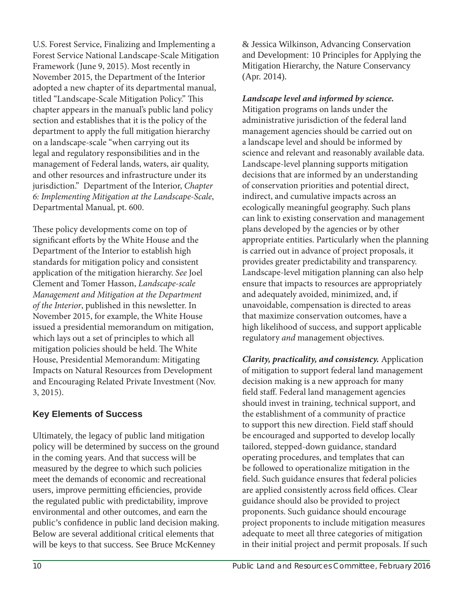U.S. Forest Service, Finalizing and Implementing a Forest Service National Landscape-Scale Mitigation Framework (June 9, 2015). Most recently in November 2015, the Department of the Interior adopted a new chapter of its departmental manual, titled "Landscape-Scale Mitigation Policy." This chapter appears in the manual's public land policy section and establishes that it is the policy of the department to apply the full mitigation hierarchy on a landscape-scale "when carrying out its legal and regulatory responsibilities and in the management of Federal lands, waters, air quality, and other resources and infrastructure under its jurisdiction." Department of the Interior, *Chapter 6: Implementing Mitigation at the Landscape-Scale*, Departmental Manual, pt. 600.

These policy developments come on top of significant efforts by the White House and the Department of the Interior to establish high standards for mitigation policy and consistent application of the mitigation hierarchy. *See* Joel Clement and Tomer Hasson, *Landscape-scale Management and Mitigation at the Department of the Interior*, published in this newsletter. In November 2015, for example, the White House issued a presidential memorandum on mitigation, which lays out a set of principles to which all mitigation policies should be held. The White House, Presidential Memorandum: Mitigating Impacts on Natural Resources from Development and Encouraging Related Private Investment (Nov. 3, 2015).

#### **Key Elements of Success**

Ultimately, the legacy of public land mitigation policy will be determined by success on the ground in the coming years. And that success will be measured by the degree to which such policies meet the demands of economic and recreational users, improve permitting efficiencies, provide the regulated public with predictability, improve environmental and other outcomes, and earn the public's confidence in public land decision making. Below are several additional critical elements that will be keys to that success. See Bruce McKenney

& Jessica Wilkinson, Advancing Conservation and Development: 10 Principles for Applying the Mitigation Hierarchy, the Nature Conservancy (Apr. 2014).

*Landscape level and informed by science.* Mitigation programs on lands under the administrative jurisdiction of the federal land management agencies should be carried out on a landscape level and should be informed by science and relevant and reasonably available data. Landscape-level planning supports mitigation decisions that are informed by an understanding of conservation priorities and potential direct, indirect, and cumulative impacts across an ecologically meaningful geography. Such plans can link to existing conservation and management plans developed by the agencies or by other appropriate entities. Particularly when the planning is carried out in advance of project proposals, it provides greater predictability and transparency. Landscape-level mitigation planning can also help ensure that impacts to resources are appropriately and adequately avoided, minimized, and, if unavoidable, compensation is directed to areas that maximize conservation outcomes, have a high likelihood of success, and support applicable regulatory *and* management objectives.

*Clarity, practicality, and consistency.* Application of mitigation to support federal land management decision making is a new approach for many field staff. Federal land management agencies should invest in training, technical support, and the establishment of a community of practice to support this new direction. Field staff should be encouraged and supported to develop locally tailored, stepped-down guidance, standard operating procedures, and templates that can be followed to operationalize mitigation in the field. Such guidance ensures that federal policies are applied consistently across field offices. Clear guidance should also be provided to project proponents. Such guidance should encourage project proponents to include mitigation measures adequate to meet all three categories of mitigation in their initial project and permit proposals. If such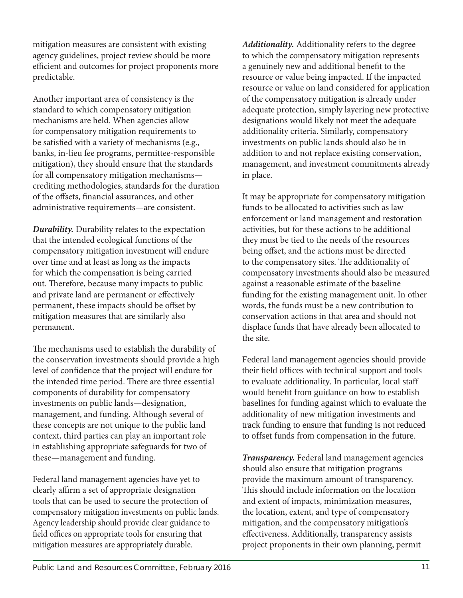mitigation measures are consistent with existing agency guidelines, project review should be more efficient and outcomes for project proponents more predictable.

Another important area of consistency is the standard to which compensatory mitigation mechanisms are held. When agencies allow for compensatory mitigation requirements to be satisfied with a variety of mechanisms (e.g., banks, in-lieu fee programs, permittee-responsible mitigation), they should ensure that the standards for all compensatory mitigation mechanisms crediting methodologies, standards for the duration of the offsets, financial assurances, and other administrative requirements—are consistent.

*Durability.* Durability relates to the expectation that the intended ecological functions of the compensatory mitigation investment will endure over time and at least as long as the impacts for which the compensation is being carried out. Therefore, because many impacts to public and private land are permanent or effectively permanent, these impacts should be offset by mitigation measures that are similarly also permanent.

The mechanisms used to establish the durability of the conservation investments should provide a high level of confidence that the project will endure for the intended time period. There are three essential components of durability for compensatory investments on public lands—designation, management, and funding. Although several of these concepts are not unique to the public land context, third parties can play an important role in establishing appropriate safeguards for two of these—management and funding.

Federal land management agencies have yet to clearly affirm a set of appropriate designation tools that can be used to secure the protection of compensatory mitigation investments on public lands. Agency leadership should provide clear guidance to field offices on appropriate tools for ensuring that mitigation measures are appropriately durable.

*Additionality.* Additionality refers to the degree to which the compensatory mitigation represents a genuinely new and additional benefit to the resource or value being impacted. If the impacted resource or value on land considered for application of the compensatory mitigation is already under adequate protection, simply layering new protective designations would likely not meet the adequate additionality criteria. Similarly, compensatory investments on public lands should also be in addition to and not replace existing conservation, management, and investment commitments already in place.

It may be appropriate for compensatory mitigation funds to be allocated to activities such as law enforcement or land management and restoration activities, but for these actions to be additional they must be tied to the needs of the resources being offset, and the actions must be directed to the compensatory sites. The additionality of compensatory investments should also be measured against a reasonable estimate of the baseline funding for the existing management unit. In other words, the funds must be a new contribution to conservation actions in that area and should not displace funds that have already been allocated to the site.

Federal land management agencies should provide their field offices with technical support and tools to evaluate additionality. In particular, local staff would benefit from guidance on how to establish baselines for funding against which to evaluate the additionality of new mitigation investments and track funding to ensure that funding is not reduced to offset funds from compensation in the future.

*Transparency.* Federal land management agencies should also ensure that mitigation programs provide the maximum amount of transparency. This should include information on the location and extent of impacts, minimization measures, the location, extent, and type of compensatory mitigation, and the compensatory mitigation's effectiveness. Additionally, transparency assists project proponents in their own planning, permit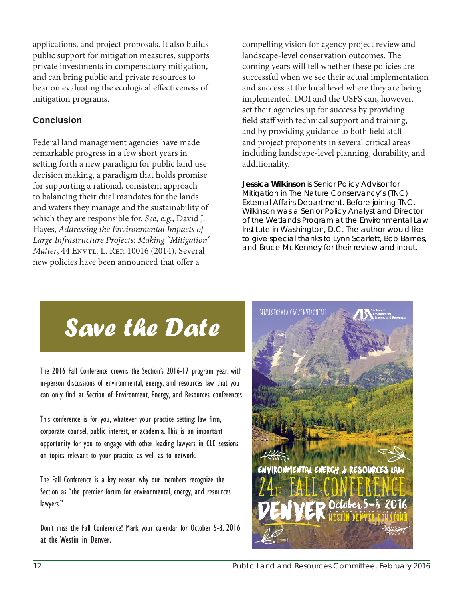applications, and project proposals. It also builds public support for mitigation measures, supports private investments in compensatory mitigation, and can bring public and private resources to bear on evaluating the ecological effectiveness of mitigation programs.

#### **Conclusion**

Federal land management agencies have made remarkable progress in a few short years in setting forth a new paradigm for public land use decision making, a paradigm that holds promise for supporting a rational, consistent approach to balancing their dual mandates for the lands and waters they manage and the sustainability of which they are responsible for. *See, e.g.*, David J. Hayes, *Addressing the Environmental Impacts of Large Infrastructure Projects: Making "Mitigation" Matter*, 44 ENVTL. L. REP. 10016 (2014). Several new policies have been announced that offer a

compelling vision for agency project review and landscape-level conservation outcomes. The coming years will tell whether these policies are successful when we see their actual implementation and success at the local level where they are being implemented. DOI and the USFS can, however, set their agencies up for success by providing field staff with technical support and training, and by providing guidance to both field staff and project proponents in several critical areas including landscape-level planning, durability, and additionality.

**Jessica Wilkinson** *is Senior Policy Advisor for Mitigation in The Nature Conservancy's (TNC) External Affairs Department. Before joining TNC, Wilkinson was a Senior Policy Analyst and Director of the Wetlands Program at the Environmental Law Institute in Washington, D.C. The author would like to give special thanks to Lynn Scarlett, Bob Barnes, and Bruce McKenney for their review and input.*

# *Save the Date*

The 2016 Fall Conference crowns the Section's 2016-17 program year, with in-person discussions of environmental, energy, and resources law that you can only find at Section of Environment, Energy, and Resources conferences.

This conference is for you, whatever your practice setting: law firm, corporate counsel, public interest, or academia. This is an important opportunity for you to engage with other leading lawyers in CLE sessions on topics relevant to your practice as well as to network.

The Fall Conference is a key reason why our members recognize the Section as "the premier forum for environmental, energy, and resources lawyers."

Don't miss the Fall Conference! Mark your calendar for October 5-8, 2016 at the Westin in Denver.

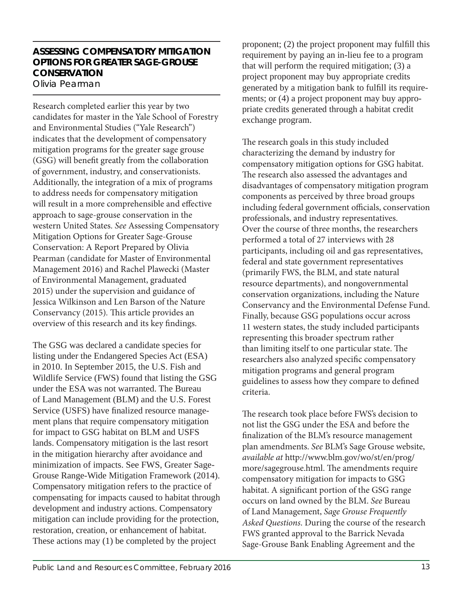#### **ASSESSING COMPENSATORY MITIGATION OPTIONS FOR GREATER SAGE-GROUSE CONSERVATION** Olivia Pearman

Research completed earlier this year by two candidates for master in the Yale School of Forestry and Environmental Studies ("Yale Research") indicates that the development of compensatory mitigation programs for the greater sage grouse (GSG) will benefit greatly from the collaboration of government, industry, and conservationists. Additionally, the integration of a mix of programs to address needs for compensatory mitigation will result in a more comprehensible and effective approach to sage-grouse conservation in the western United States. *See* Assessing Compensatory Mitigation Options for Greater Sage-Grouse Conservation: A Report Prepared by Olivia Pearman (candidate for Master of Environmental Management 2016) and Rachel Plawecki (Master of Environmental Management, graduated 2015) under the supervision and guidance of Jessica Wilkinson and Len Barson of the Nature Conservancy (2015). This article provides an overview of this research and its key findings.

The GSG was declared a candidate species for listing under the Endangered Species Act (ESA) in 2010. In September 2015, the U.S. Fish and Wildlife Service (FWS) found that listing the GSG under the ESA was not warranted. The Bureau of Land Management (BLM) and the U.S. Forest Service (USFS) have finalized resource management plans that require compensatory mitigation for impact to GSG habitat on BLM and USFS lands. Compensatory mitigation is the last resort in the mitigation hierarchy after avoidance and minimization of impacts. See FWS, Greater Sage-Grouse Range-Wide Mitigation Framework (2014). Compensatory mitigation refers to the practice of compensating for impacts caused to habitat through development and industry actions. Compensatory mitigation can include providing for the protection, restoration, creation, or enhancement of habitat. These actions may (1) be completed by the project

proponent;  $(2)$  the project proponent may fulfill this requirement by paying an in-lieu fee to a program that will perform the required mitigation; (3) a project proponent may buy appropriate credits generated by a mitigation bank to fulfill its requirements; or (4) a project proponent may buy appropriate credits generated through a habitat credit exchange program.

The research goals in this study included characterizing the demand by industry for compensatory mitigation options for GSG habitat. The research also assessed the advantages and disadvantages of compensatory mitigation program components as perceived by three broad groups including federal government officials, conservation professionals, and industry representatives. Over the course of three months, the researchers performed a total of 27 interviews with 28 participants, including oil and gas representatives, federal and state government representatives (primarily FWS, the BLM, and state natural resource departments), and nongovernmental conservation organizations, including the Nature Conservancy and the Environmental Defense Fund. Finally, because GSG populations occur across 11 western states, the study included participants representing this broader spectrum rather than limiting itself to one particular state. The researchers also analyzed specific compensatory mitigation programs and general program guidelines to assess how they compare to defined criteria.

The research took place before FWS's decision to not list the GSG under the ESA and before the finalization of the BLM's resource management plan amendments. *See* BLM's Sage Grouse website, *available at* http://www.blm.gov/wo/st/en/prog/ more/sagegrouse.html. The amendments require compensatory mitigation for impacts to GSG habitat. A significant portion of the GSG range occurs on land owned by the BLM. *See* Bureau of Land Management, *Sage Grouse Frequently Asked Questions*. During the course of the research FWS granted approval to the Barrick Nevada Sage-Grouse Bank Enabling Agreement and the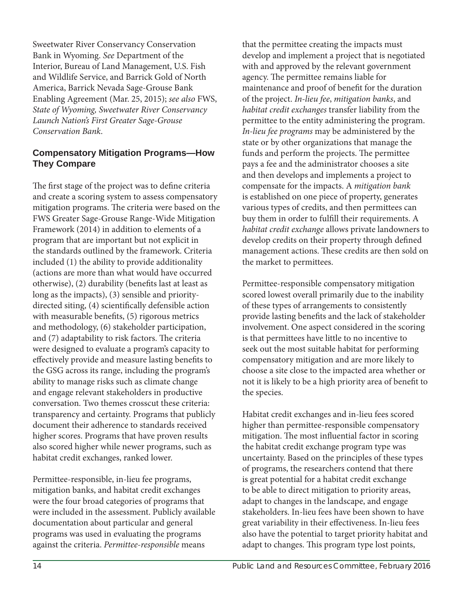Sweetwater River Conservancy Conservation Bank in Wyoming. *See* Department of the Interior, Bureau of Land Management, U.S. Fish and Wildlife Service, and Barrick Gold of North America, Barrick Nevada Sage-Grouse Bank Enabling Agreement (Mar. 25, 2015); *see also* FWS, *State of Wyoming, Sweetwater River Conservancy Launch Nation's First Greater Sage-Grouse Conservation Bank*.

#### **Compensatory Mitigation Programs—How They Compare**

The first stage of the project was to define criteria and create a scoring system to assess compensatory mitigation programs. The criteria were based on the FWS Greater Sage-Grouse Range-Wide Mitigation Framework (2014) in addition to elements of a program that are important but not explicit in the standards outlined by the framework. Criteria included (1) the ability to provide additionality (actions are more than what would have occurred otherwise), (2) durability (benefits last at least as long as the impacts), (3) sensible and prioritydirected siting, (4) scientifically defensible action with measurable benefits,  $(5)$  rigorous metrics and methodology, (6) stakeholder participation, and  $(7)$  adaptability to risk factors. The criteria were designed to evaluate a program's capacity to effectively provide and measure lasting benefits to the GSG across its range, including the program's ability to manage risks such as climate change and engage relevant stakeholders in productive conversation. Two themes crosscut these criteria: transparency and certainty. Programs that publicly document their adherence to standards received higher scores. Programs that have proven results also scored higher while newer programs, such as habitat credit exchanges, ranked lower.

Permittee-responsible, in-lieu fee programs, mitigation banks, and habitat credit exchanges were the four broad categories of programs that were included in the assessment. Publicly available documentation about particular and general programs was used in evaluating the programs against the criteria. *Permittee-responsible* means

that the permittee creating the impacts must develop and implement a project that is negotiated with and approved by the relevant government agency. The permittee remains liable for maintenance and proof of benefit for the duration of the project. *In-lieu fee*, *mitigation banks*, and *habitat credit exchanges* transfer liability from the permittee to the entity administering the program. *In-lieu fee programs* may be administered by the state or by other organizations that manage the funds and perform the projects. The permittee pays a fee and the administrator chooses a site and then develops and implements a project to compensate for the impacts. A *mitigation bank* is established on one piece of property, generates various types of credits, and then permittees can buy them in order to fulfill their requirements. A *habitat credit exchange* allows private landowners to develop credits on their property through defined management actions. These credits are then sold on the market to permittees.

Permittee-responsible compensatory mitigation scored lowest overall primarily due to the inability of these types of arrangements to consistently provide lasting benefits and the lack of stakeholder involvement. One aspect considered in the scoring is that permittees have little to no incentive to seek out the most suitable habitat for performing compensatory mitigation and are more likely to choose a site close to the impacted area whether or not it is likely to be a high priority area of benefit to the species.

Habitat credit exchanges and in-lieu fees scored higher than permittee-responsible compensatory mitigation. The most influential factor in scoring the habitat credit exchange program type was uncertainty. Based on the principles of these types of programs, the researchers contend that there is great potential for a habitat credit exchange to be able to direct mitigation to priority areas, adapt to changes in the landscape, and engage stakeholders. In-lieu fees have been shown to have great variability in their effectiveness. In-lieu fees also have the potential to target priority habitat and adapt to changes. This program type lost points,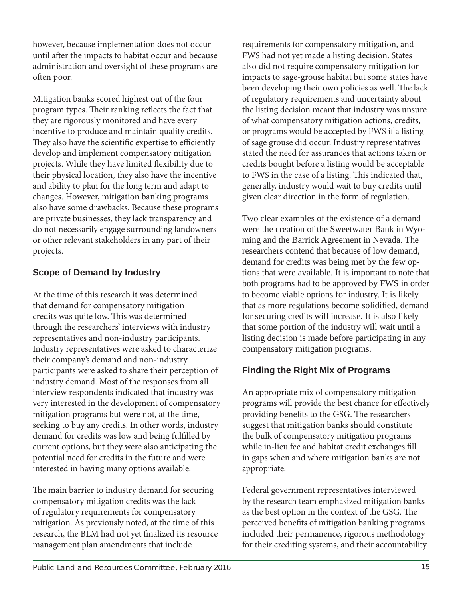however, because implementation does not occur until after the impacts to habitat occur and because administration and oversight of these programs are often poor.

Mitigation banks scored highest out of the four program types. Their ranking reflects the fact that they are rigorously monitored and have every incentive to produce and maintain quality credits. They also have the scientific expertise to efficiently develop and implement compensatory mitigation projects. While they have limited flexibility due to their physical location, they also have the incentive and ability to plan for the long term and adapt to changes. However, mitigation banking programs also have some drawbacks. Because these programs are private businesses, they lack transparency and do not necessarily engage surrounding landowners or other relevant stakeholders in any part of their projects.

#### **Scope of Demand by Industry**

At the time of this research it was determined that demand for compensatory mitigation credits was quite low. This was determined through the researchers' interviews with industry representatives and non-industry participants. Industry representatives were asked to characterize their company's demand and non-industry participants were asked to share their perception of industry demand. Most of the responses from all interview respondents indicated that industry was very interested in the development of compensatory mitigation programs but were not, at the time, seeking to buy any credits. In other words, industry demand for credits was low and being fulfilled by current options, but they were also anticipating the potential need for credits in the future and were interested in having many options available.

The main barrier to industry demand for securing compensatory mitigation credits was the lack of regulatory requirements for compensatory mitigation. As previously noted, at the time of this research, the BLM had not yet finalized its resource management plan amendments that include

requirements for compensatory mitigation, and FWS had not yet made a listing decision. States also did not require compensatory mitigation for impacts to sage-grouse habitat but some states have been developing their own policies as well. The lack of regulatory requirements and uncertainty about the listing decision meant that industry was unsure of what compensatory mitigation actions, credits, or programs would be accepted by FWS if a listing of sage grouse did occur. Industry representatives stated the need for assurances that actions taken or credits bought before a listing would be acceptable to FWS in the case of a listing. This indicated that, generally, industry would wait to buy credits until given clear direction in the form of regulation.

Two clear examples of the existence of a demand were the creation of the Sweetwater Bank in Wyoming and the Barrick Agreement in Nevada. The researchers contend that because of low demand, demand for credits was being met by the few options that were available. It is important to note that both programs had to be approved by FWS in order to become viable options for industry. It is likely that as more regulations become solidified, demand for securing credits will increase. It is also likely that some portion of the industry will wait until a listing decision is made before participating in any compensatory mitigation programs.

#### **Finding the Right Mix of Programs**

An appropriate mix of compensatory mitigation programs will provide the best chance for effectively providing benefits to the GSG. The researchers suggest that mitigation banks should constitute the bulk of compensatory mitigation programs while in-lieu fee and habitat credit exchanges fill in gaps when and where mitigation banks are not appropriate.

Federal government representatives interviewed by the research team emphasized mitigation banks as the best option in the context of the GSG. The perceived benefits of mitigation banking programs included their permanence, rigorous methodology for their crediting systems, and their accountability.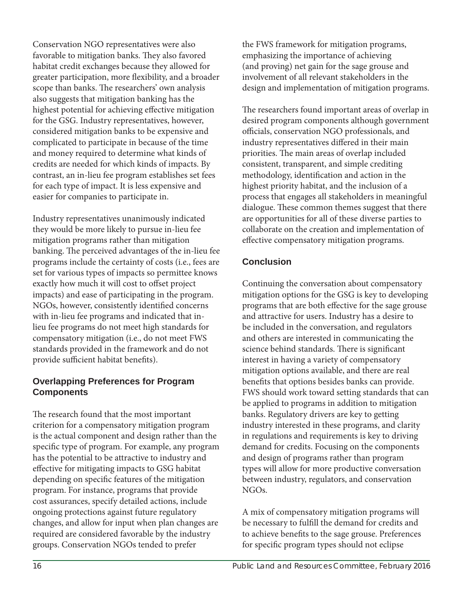Conservation NGO representatives were also favorable to mitigation banks. They also favored habitat credit exchanges because they allowed for greater participation, more flexibility, and a broader scope than banks. The researchers' own analysis also suggests that mitigation banking has the highest potential for achieving effective mitigation for the GSG. Industry representatives, however, considered mitigation banks to be expensive and complicated to participate in because of the time and money required to determine what kinds of credits are needed for which kinds of impacts. By contrast, an in-lieu fee program establishes set fees for each type of impact. It is less expensive and easier for companies to participate in.

Industry representatives unanimously indicated they would be more likely to pursue in-lieu fee mitigation programs rather than mitigation banking. The perceived advantages of the in-lieu fee programs include the certainty of costs (i.e., fees are set for various types of impacts so permittee knows exactly how much it will cost to offset project impacts) and ease of participating in the program. NGOs, however, consistently identified concerns with in-lieu fee programs and indicated that inlieu fee programs do not meet high standards for compensatory mitigation (i.e., do not meet FWS standards provided in the framework and do not provide sufficient habitat benefits).

#### **Overlapping Preferences for Program Components**

The research found that the most important criterion for a compensatory mitigation program is the actual component and design rather than the specific type of program. For example, any program has the potential to be attractive to industry and effective for mitigating impacts to GSG habitat depending on specific features of the mitigation program. For instance, programs that provide cost assurances, specify detailed actions, include ongoing protections against future regulatory changes, and allow for input when plan changes are required are considered favorable by the industry groups. Conservation NGOs tended to prefer

the FWS framework for mitigation programs, emphasizing the importance of achieving (and proving) net gain for the sage grouse and involvement of all relevant stakeholders in the design and implementation of mitigation programs.

The researchers found important areas of overlap in desired program components although government officials, conservation NGO professionals, and industry representatives differed in their main priorities. The main areas of overlap included consistent, transparent, and simple crediting methodology, identification and action in the highest priority habitat, and the inclusion of a process that engages all stakeholders in meaningful dialogue. These common themes suggest that there are opportunities for all of these diverse parties to collaborate on the creation and implementation of effective compensatory mitigation programs.

#### **Conclusion**

Continuing the conversation about compensatory mitigation options for the GSG is key to developing programs that are both effective for the sage grouse and attractive for users. Industry has a desire to be included in the conversation, and regulators and others are interested in communicating the science behind standards. There is significant interest in having a variety of compensatory mitigation options available, and there are real benefits that options besides banks can provide. FWS should work toward setting standards that can be applied to programs in addition to mitigation banks. Regulatory drivers are key to getting industry interested in these programs, and clarity in regulations and requirements is key to driving demand for credits. Focusing on the components and design of programs rather than program types will allow for more productive conversation between industry, regulators, and conservation NGOs.

A mix of compensatory mitigation programs will be necessary to fulfill the demand for credits and to achieve benefits to the sage grouse. Preferences for specific program types should not eclipse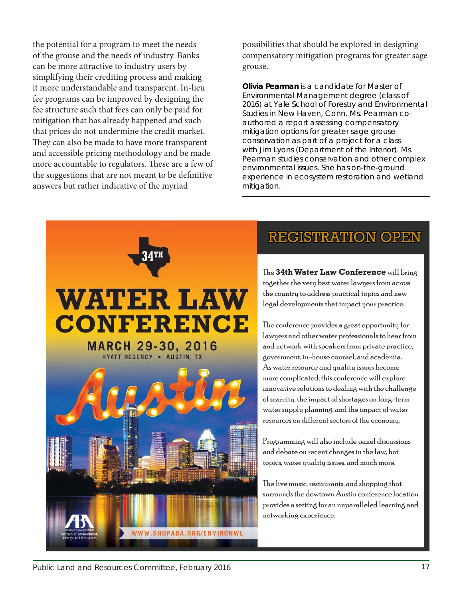the potential for a program to meet the needs of the grouse and the needs of industry. Banks can be more attractive to industry users by simplifying their crediting process and making it more understandable and transparent. In-lieu fee programs can be improved by designing the fee structure such that fees can only be paid for mitigation that has already happened and such that prices do not undermine the credit market. They can also be made to have more transparent and accessible pricing methodology and be made more accountable to regulators. These are a few of the suggestions that are not meant to be definitive answers but rather indicative of the myriad

possibilities that should be explored in designing compensatory mitigation programs for greater sage grouse.

**Olivia Pearman** *is a candidate for Master of Environmental Management degree (class of 2016) at Yale School of Forestry and Environmental Studies in New Haven, Conn. Ms. Pearman coauthored a report assessing compensatory mitigation options for greater sage grouse conservation as part of a project for a class with Jim Lyons (Department of the Interior). Ms. Pearman studies conservation and other complex environmental issues. She has on-the-ground experience in ecosystem restoration and wetland mitigation.*



## **REGISTRATION OPEN**

The **34th Water Law Conference 4th** will bring together the very best water lawyers from across the country to address practical topics and new legal developments that impact your practice.

The conference provides a great opportunity for lawyers and other water professionals to hear from and network with speakers from private practice, government, in-house counsel, and academia. As water resource and quality issues become more complicated, this conference will explore innovative solutions to dealing with the challenge of scarcity, the impact of shortages on long-term water supply planning, and the impact of water resources on different sectors of the economy.

Programming will also include panel discussions and debate on recent changes in the law, hot topics, water quality issues, and much more.

The live music, restaurants, and shopping that surrounds the dowtown Austin conference location provides a setting for an unparalleled learning and networking experience.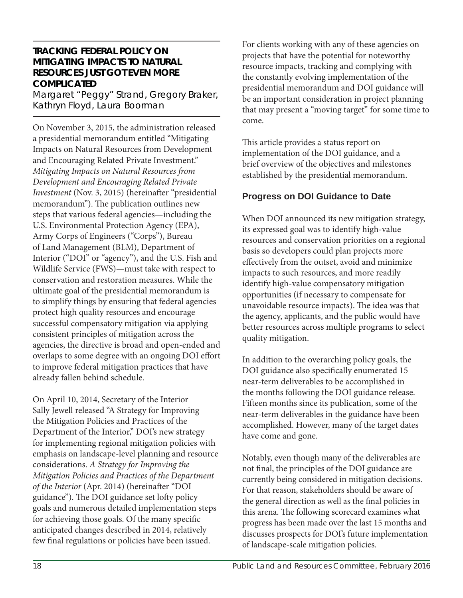#### **TRACKING FEDERAL POLICY ON MITIGATING IMPACTS TO NATURAL RESOURCES JUST GOT EVEN MORE COMPLICATED**

Margaret "Peggy" Strand, Gregory Braker, Kathryn Floyd, Laura Boorman

On November 3, 2015, the administration released a presidential memorandum entitled "Mitigating Impacts on Natural Resources from Development and Encouraging Related Private Investment." *Mitigating Impacts on Natural Resources from Development and Encouraging Related Private Investment* (Nov. 3, 2015) (hereinafter "presidential memorandum"). The publication outlines new steps that various federal agencies—including the U.S. Environmental Protection Agency (EPA), Army Corps of Engineers ("Corps"), Bureau of Land Management (BLM), Department of Interior ("DOI" or "agency"), and the U.S. Fish and Wildlife Service (FWS)—must take with respect to conservation and restoration measures. While the ultimate goal of the presidential memorandum is to simplify things by ensuring that federal agencies protect high quality resources and encourage successful compensatory mitigation via applying consistent principles of mitigation across the agencies, the directive is broad and open-ended and overlaps to some degree with an ongoing DOI effort to improve federal mitigation practices that have already fallen behind schedule.

On April 10, 2014, Secretary of the Interior Sally Jewell released "A Strategy for Improving the Mitigation Policies and Practices of the Department of the Interior," DOI's new strategy for implementing regional mitigation policies with emphasis on landscape-level planning and resource considerations. *A Strategy for Improving the Mitigation Policies and Practices of the Department of the Interior* (Apr. 2014) (hereinafter "DOI guidance"). The DOI guidance set lofty policy goals and numerous detailed implementation steps for achieving those goals. Of the many specific anticipated changes described in 2014, relatively few final regulations or policies have been issued.

For clients working with any of these agencies on projects that have the potential for noteworthy resource impacts, tracking and complying with the constantly evolving implementation of the presidential memorandum and DOI guidance will be an important consideration in project planning that may present a "moving target" for some time to come.

This article provides a status report on implementation of the DOI guidance, and a brief overview of the objectives and milestones established by the presidential memorandum.

#### **Progress on DOI Guidance to Date**

When DOI announced its new mitigation strategy, its expressed goal was to identify high-value resources and conservation priorities on a regional basis so developers could plan projects more effectively from the outset, avoid and minimize impacts to such resources, and more readily identify high-value compensatory mitigation opportunities (if necessary to compensate for unavoidable resource impacts). The idea was that the agency, applicants, and the public would have better resources across multiple programs to select quality mitigation.

In addition to the overarching policy goals, the DOI guidance also specifically enumerated 15 near-term deliverables to be accomplished in the months following the DOI guidance release. Fifteen months since its publication, some of the near-term deliverables in the guidance have been accomplished. However, many of the target dates have come and gone.

Notably, even though many of the deliverables are not final, the principles of the DOI guidance are currently being considered in mitigation decisions. For that reason, stakeholders should be aware of the general direction as well as the final policies in this arena. The following scorecard examines what progress has been made over the last 15 months and discusses prospects for DOI's future implementation of landscape-scale mitigation policies.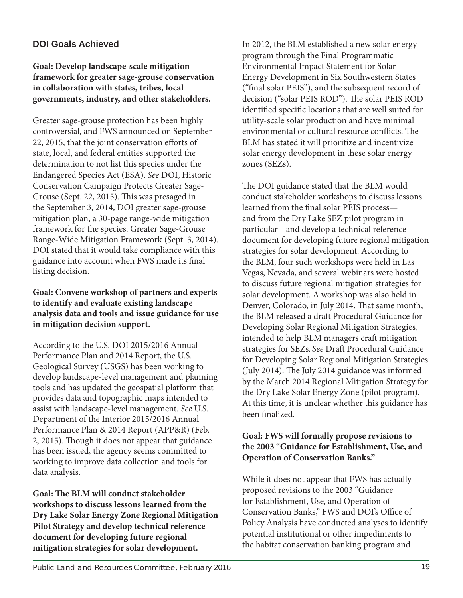#### **DOI Goals Achieved**

#### **Goal: Develop landscape-scale mitigation framework for greater sage-grouse conservation in collaboration with states, tribes, local governments, industry, and other stakeholders.**

Greater sage-grouse protection has been highly controversial, and FWS announced on September 22, 2015, that the joint conservation efforts of state, local, and federal entities supported the determination to not list this species under the Endangered Species Act (ESA). *See* DOI, Historic Conservation Campaign Protects Greater Sage-Grouse (Sept. 22, 2015). This was presaged in the September 3, 2014, DOI greater sage-grouse mitigation plan, a 30-page range-wide mitigation framework for the species. Greater Sage-Grouse Range-Wide Mitigation Framework (Sept. 3, 2014). DOI stated that it would take compliance with this guidance into account when FWS made its final listing decision.

#### **Goal: Convene workshop of partners and experts to identify and evaluate existing landscape analysis data and tools and issue guidance for use in mitigation decision support.**

According to the U.S. DOI 2015/2016 Annual Performance Plan and 2014 Report, the U.S. Geological Survey (USGS) has been working to develop landscape-level management and planning tools and has updated the geospatial platform that provides data and topographic maps intended to assist with landscape-level management. *See* U.S. Department of the Interior 2015/2016 Annual Performance Plan & 2014 Report (APP&R) (Feb. 2, 2015). Though it does not appear that guidance has been issued, the agency seems committed to working to improve data collection and tools for data analysis.

Goal: The BLM will conduct stakeholder **workshops to discuss lessons learned from the Dry Lake Solar Energy Zone Regional Mitigation Pilot Strategy and develop technical reference document for developing future regional mitigation strategies for solar development.** 

In 2012, the BLM established a new solar energy program through the Final Programmatic Environmental Impact Statement for Solar Energy Development in Six Southwestern States ("final solar PEIS"), and the subsequent record of decision ("solar PEIS ROD"). The solar PEIS ROD identified specific locations that are well suited for utility-scale solar production and have minimal environmental or cultural resource conflicts. The BLM has stated it will prioritize and incentivize solar energy development in these solar energy zones (SEZs).

The DOI guidance stated that the BLM would conduct stakeholder workshops to discuss lessons learned from the final solar PEIS processand from the Dry Lake SEZ pilot program in particular—and develop a technical reference document for developing future regional mitigation strategies for solar development. According to the BLM, four such workshops were held in Las Vegas, Nevada, and several webinars were hosted to discuss future regional mitigation strategies for solar development. A workshop was also held in Denver, Colorado, in July 2014. That same month, the BLM released a draft Procedural Guidance for Developing Solar Regional Mitigation Strategies, intended to help BLM managers craft mitigation strategies for SEZs. *See* Draft Procedural Guidance for Developing Solar Regional Mitigation Strategies (July 2014). The July 2014 guidance was informed by the March 2014 Regional Mitigation Strategy for the Dry Lake Solar Energy Zone (pilot program). At this time, it is unclear whether this guidance has been finalized.

#### **Goal: FWS will formally propose revisions to the 2003 "Guidance for Establishment, Use, and Operation of Conservation Banks."**

While it does not appear that FWS has actually proposed revisions to the 2003 "Guidance for Establishment, Use, and Operation of Conservation Banks," FWS and DOI's Office of Policy Analysis have conducted analyses to identify potential institutional or other impediments to the habitat conservation banking program and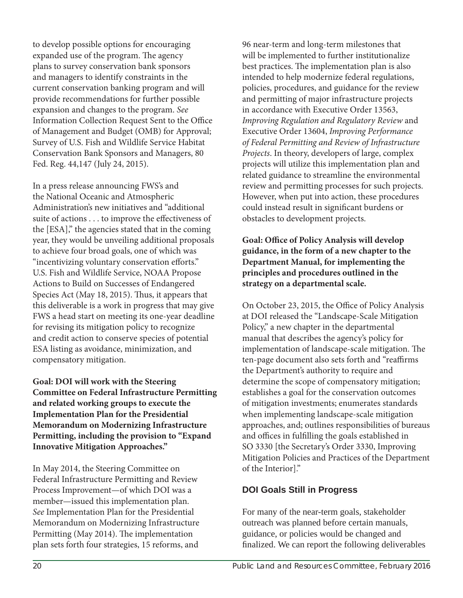to develop possible options for encouraging expanded use of the program. The agency plans to survey conservation bank sponsors and managers to identify constraints in the current conservation banking program and will provide recommendations for further possible expansion and changes to the program. *See*  Information Collection Request Sent to the Office of Management and Budget (OMB) for Approval; Survey of U.S. Fish and Wildlife Service Habitat Conservation Bank Sponsors and Managers, 80 Fed. Reg. 44,147 (July 24, 2015).

In a press release announcing FWS's and the National Oceanic and Atmospheric Administration's new initiatives and "additional suite of actions . . . to improve the effectiveness of the [ESA]," the agencies stated that in the coming year, they would be unveiling additional proposals to achieve four broad goals, one of which was "incentivizing voluntary conservation efforts." U.S. Fish and Wildlife Service, NOAA Propose Actions to Build on Successes of Endangered Species Act (May 18, 2015). Thus, it appears that this deliverable is a work in progress that may give FWS a head start on meeting its one-year deadline for revising its mitigation policy to recognize and credit action to conserve species of potential ESA listing as avoidance, minimization, and compensatory mitigation.

**Goal: DOI will work with the Steering Committee on Federal Infrastructure Permitting and related working groups to execute the Implementation Plan for the Presidential Memorandum on Modernizing Infrastructure Permitting, including the provision to "Expand Innovative Mitigation Approaches."**

In May 2014, the Steering Committee on Federal Infrastructure Permitting and Review Process Improvement—of which DOI was a member—issued this implementation plan. *See* Implementation Plan for the Presidential Memorandum on Modernizing Infrastructure Permitting (May 2014). The implementation plan sets forth four strategies, 15 reforms, and

96 near-term and long-term milestones that will be implemented to further institutionalize best practices. The implementation plan is also intended to help modernize federal regulations, policies, procedures, and guidance for the review and permitting of major infrastructure projects in accordance with Executive Order 13563, *Improving Regulation and Regulatory Review* and Executive Order 13604, *Improving Performance of Federal Permitting and Review of Infrastructure Projects*. In theory, developers of large, complex projects will utilize this implementation plan and related guidance to streamline the environmental review and permitting processes for such projects. However, when put into action, these procedures could instead result in significant burdens or obstacles to development projects.

**Goal: Office of Policy Analysis will develop guidance, in the form of a new chapter to the Department Manual, for implementing the principles and procedures outlined in the strategy on a departmental scale.**

On October 23, 2015, the Office of Policy Analysis at DOI released the "Landscape-Scale Mitigation Policy," a new chapter in the departmental manual that describes the agency's policy for implementation of landscape-scale mitigation. The ten-page document also sets forth and "reaffirms the Department's authority to require and determine the scope of compensatory mitigation; establishes a goal for the conservation outcomes of mitigation investments; enumerates standards when implementing landscape-scale mitigation approaches, and; outlines responsibilities of bureaus and offices in fulfilling the goals established in SO 3330 [the Secretary's Order 3330, Improving Mitigation Policies and Practices of the Department of the Interior]."

#### **DOI Goals Still in Progress**

For many of the near-term goals, stakeholder outreach was planned before certain manuals, guidance, or policies would be changed and finalized. We can report the following deliverables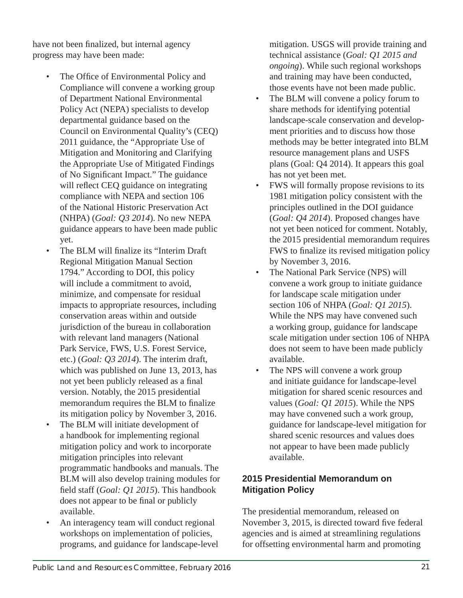have not been finalized, but internal agency progress may have been made:

- The Office of Environmental Policy and Compliance will convene a working group of Department National Environmental Policy Act (NEPA) specialists to develop departmental guidance based on the Council on Environmental Quality's (CEQ) 2011 guidance, the "Appropriate Use of Mitigation and Monitoring and Clarifying the Appropriate Use of Mitigated Findings of No Significant Impact." The guidance will reflect CEQ guidance on integrating compliance with NEPA and section 106 of the National Historic Preservation Act (NHPA) (*Goal: Q3 2014*). No new NEPA guidance appears to have been made public yet.
- The BLM will finalize its "Interim Draft" Regional Mitigation Manual Section 1794." According to DOI, this policy will include a commitment to avoid. minimize, and compensate for residual impacts to appropriate resources, including conservation areas within and outside jurisdiction of the bureau in collaboration with relevant land managers (National Park Service, FWS, U.S. Forest Service, etc.) (*Goal: Q3 2014*). The interim draft, which was published on June 13, 2013, has not yet been publicly released as a final version. Notably, the 2015 presidential memorandum requires the BLM to finalize its mitigation policy by November 3, 2016.
- The BLM will initiate development of a handbook for implementing regional mitigation policy and work to incorporate mitigation principles into relevant programmatic handbooks and manuals. The BLM will also develop training modules for field staff (*Goal: Q1 2015*). This handbook does not appear to be final or publicly available.
- An interagency team will conduct regional workshops on implementation of policies, programs, and guidance for landscape-level

mitigation. USGS will provide training and technical assistance (*Goal: Q1 2015 and ongoing*). While such regional workshops and training may have been conducted, those events have not been made public.

- The BLM will convene a policy forum to share methods for identifying potential landscape-scale conservation and development priorities and to discuss how those methods may be better integrated into BLM resource management plans and USFS plans (Goal: Q4 2014). It appears this goal has not yet been met.
- FWS will formally propose revisions to its 1981 mitigation policy consistent with the principles outlined in the DOI guidance (*Goal: Q4 2014*). Proposed changes have not yet been noticed for comment. Notably, the 2015 presidential memorandum requires FWS to finalize its revised mitigation policy by November 3, 2016.
- The National Park Service (NPS) will convene a work group to initiate guidance for landscape scale mitigation under section 106 of NHPA (*Goal: Q1 2015*). While the NPS may have convened such a working group, guidance for landscape scale mitigation under section 106 of NHPA does not seem to have been made publicly available.
- The NPS will convene a work group and initiate guidance for landscape-level mitigation for shared scenic resources and values (*Goal: Q1 2015*). While the NPS may have convened such a work group, guidance for landscape-level mitigation for shared scenic resources and values does not appear to have been made publicly available.

#### **2015 Presidential Memorandum on Mitigation Policy**

The presidential memorandum, released on November 3, 2015, is directed toward five federal agencies and is aimed at streamlining regulations for offsetting environmental harm and promoting